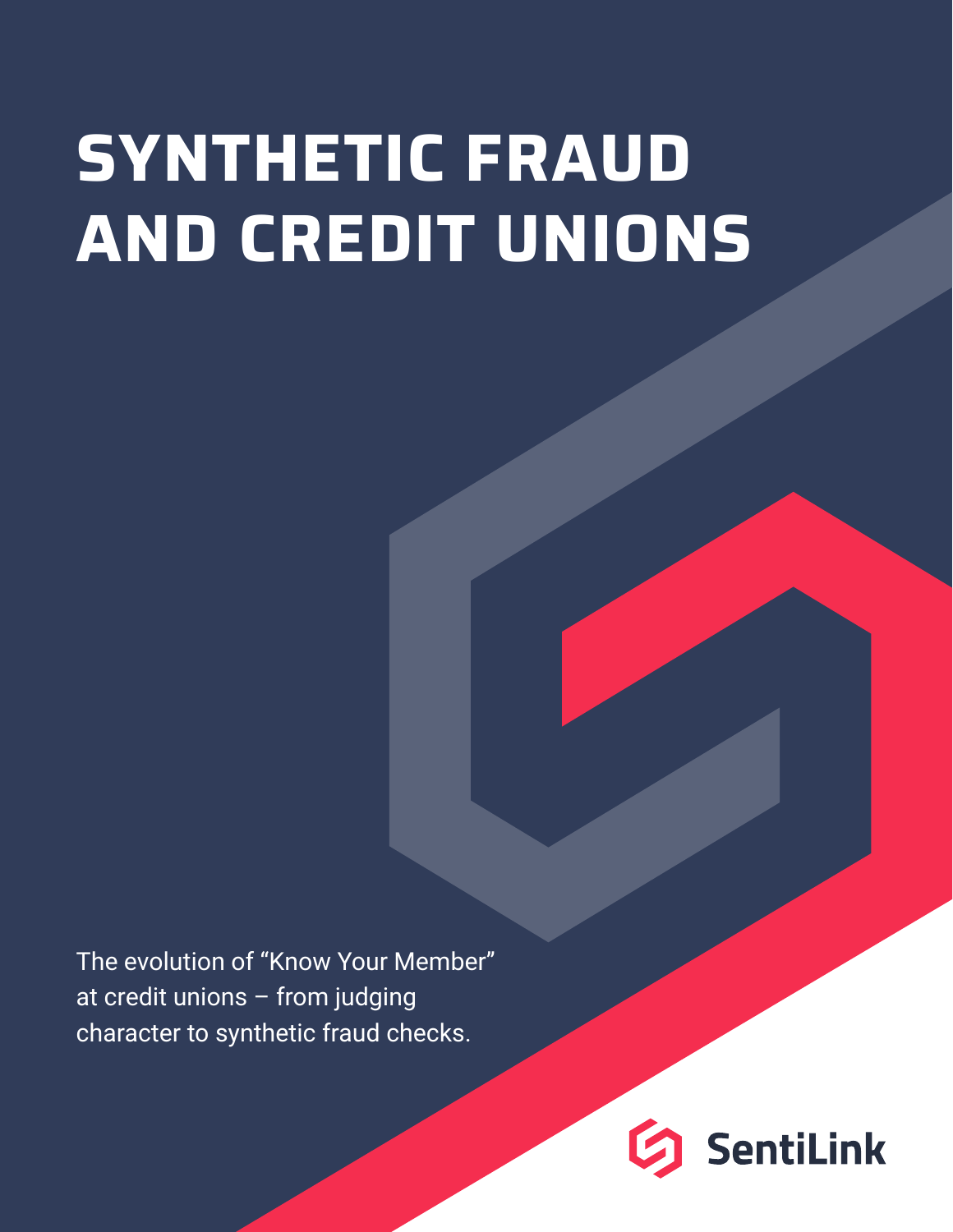# **SYNTHETIC FRAUD AND CREDIT UNIONS**

The evolution of "Know Your Member" at credit unions – from judging character to synthetic fraud checks.

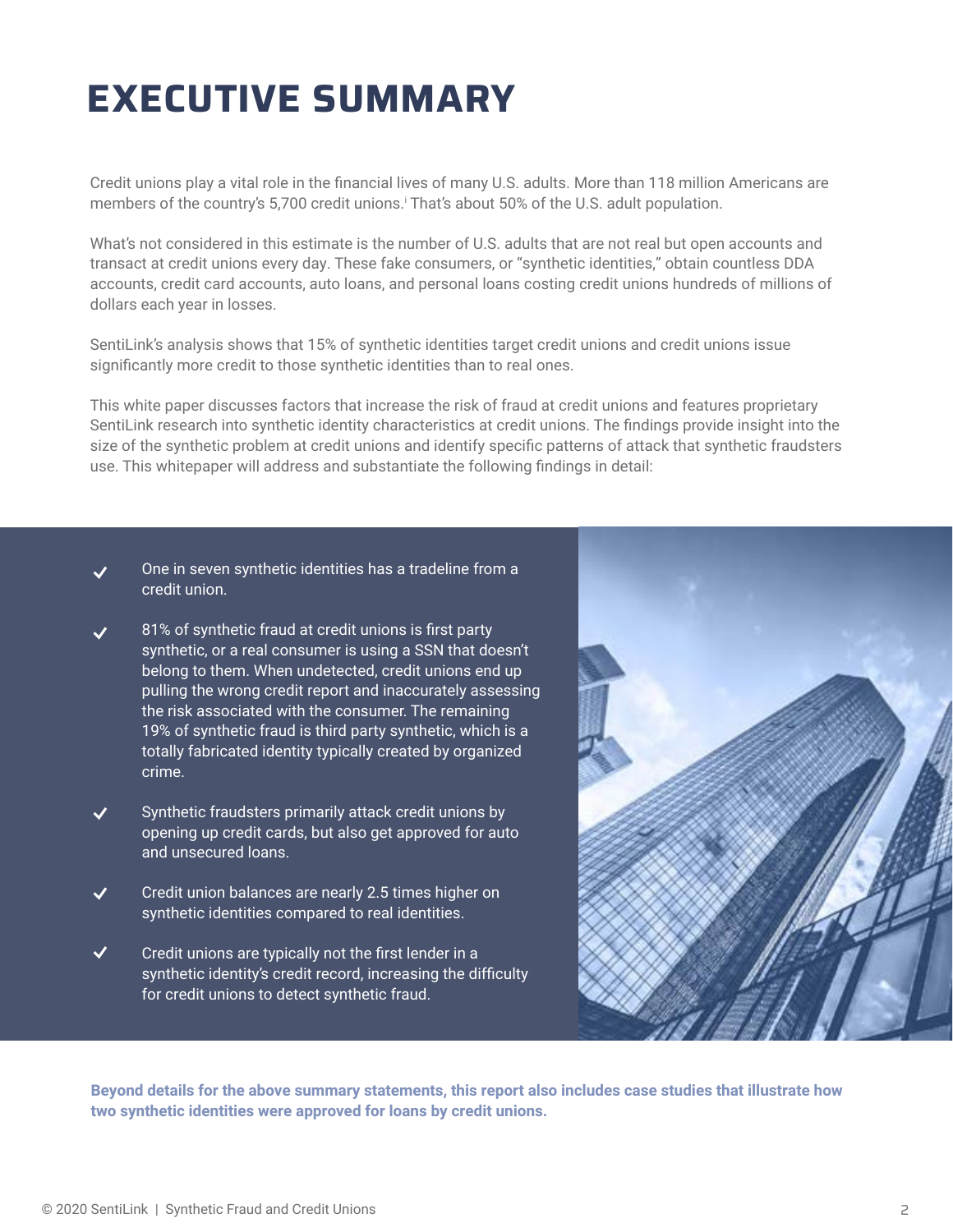# **EXECUTIVE SUMMARY**

Credit unions play a vital role in the financial lives of many U.S. adults. More than 118 million Americans are members of the country's 5,700 credit unions.' That's about 50% of the U.S. adult population.

What's not considered in this estimate is the number of U.S. adults that are not real but open accounts and transact at credit unions every day. These fake consumers, or "synthetic identities," obtain countless DDA accounts, credit card accounts, auto loans, and personal loans costing credit unions hundreds of millions of dollars each year in losses.

SentiLink's analysis shows that 15% of synthetic identities target credit unions and credit unions issue significantly more credit to those synthetic identities than to real ones.

This white paper discusses factors that increase the risk of fraud at credit unions and features proprietary SentiLink research into synthetic identity characteristics at credit unions. The findings provide insight into the size of the synthetic problem at credit unions and identify specific patterns of attack that synthetic fraudsters use. This whitepaper will address and substantiate the following findings in detail:

- One in seven synthetic identities has a tradeline from a  $\checkmark$ credit union.
- 81% of synthetic fraud at credit unions is first party synthetic, or a real consumer is using a SSN that doesn't belong to them. When undetected, credit unions end up pulling the wrong credit report and inaccurately assessing the risk associated with the consumer. The remaining 19% of synthetic fraud is third party synthetic, which is a totally fabricated identity typically created by organized crime.
- Synthetic fraudsters primarily attack credit unions by opening up credit cards, but also get approved for auto and unsecured loans.
- $\checkmark$ Credit union balances are nearly 2.5 times higher on synthetic identities compared to real identities.
- $\checkmark$ Credit unions are typically not the first lender in a synthetic identity's credit record, increasing the difficulty for credit unions to detect synthetic fraud.



**Beyond details for the above summary statements, this report also includes case studies that illustrate how two synthetic identities were approved for loans by credit unions.**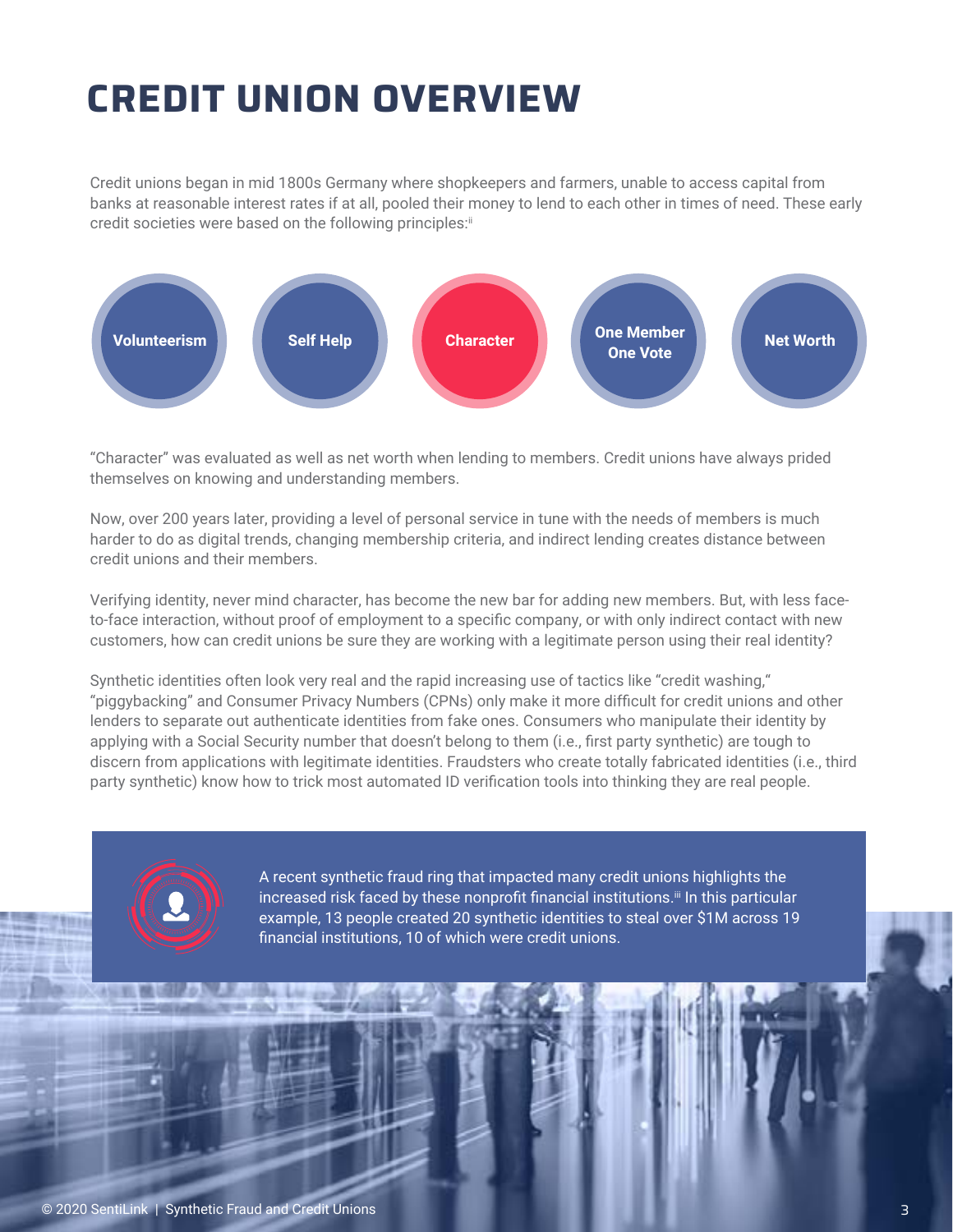# **CREDIT UNION OVERVIEW**

Credit unions began in mid 1800s Germany where shopkeepers and farmers, unable to access capital from banks at reasonable interest rates if at all, pooled their money to lend to each other in times of need. These early credit societies were based on the following principles:ii



"Character" was evaluated as well as net worth when lending to members. Credit unions have always prided themselves on knowing and understanding members.

Now, over 200 years later, providing a level of personal service in tune with the needs of members is much harder to do as digital trends, changing membership criteria, and indirect lending creates distance between credit unions and their members.

Verifying identity, never mind character, has become the new bar for adding new members. But, with less faceto-face interaction, without proof of employment to a specific company, or with only indirect contact with new customers, how can credit unions be sure they are working with a legitimate person using their real identity?

Synthetic identities often look very real and the rapid increasing use of tactics like "credit washing," "piggybacking" and Consumer Privacy Numbers (CPNs) only make it more difficult for credit unions and other lenders to separate out authenticate identities from fake ones. Consumers who manipulate their identity by applying with a Social Security number that doesn't belong to them (i.e., first party synthetic) are tough to discern from applications with legitimate identities. Fraudsters who create totally fabricated identities (i.e., third party synthetic) know how to trick most automated ID verification tools into thinking they are real people.



A recent synthetic fraud ring that impacted many credit unions highlights the increased risk faced by these nonprofit financial institutions.<sup>iii</sup> In this particular example, 13 people created 20 synthetic identities to steal over \$1M across 19 financial institutions, 10 of which were credit unions.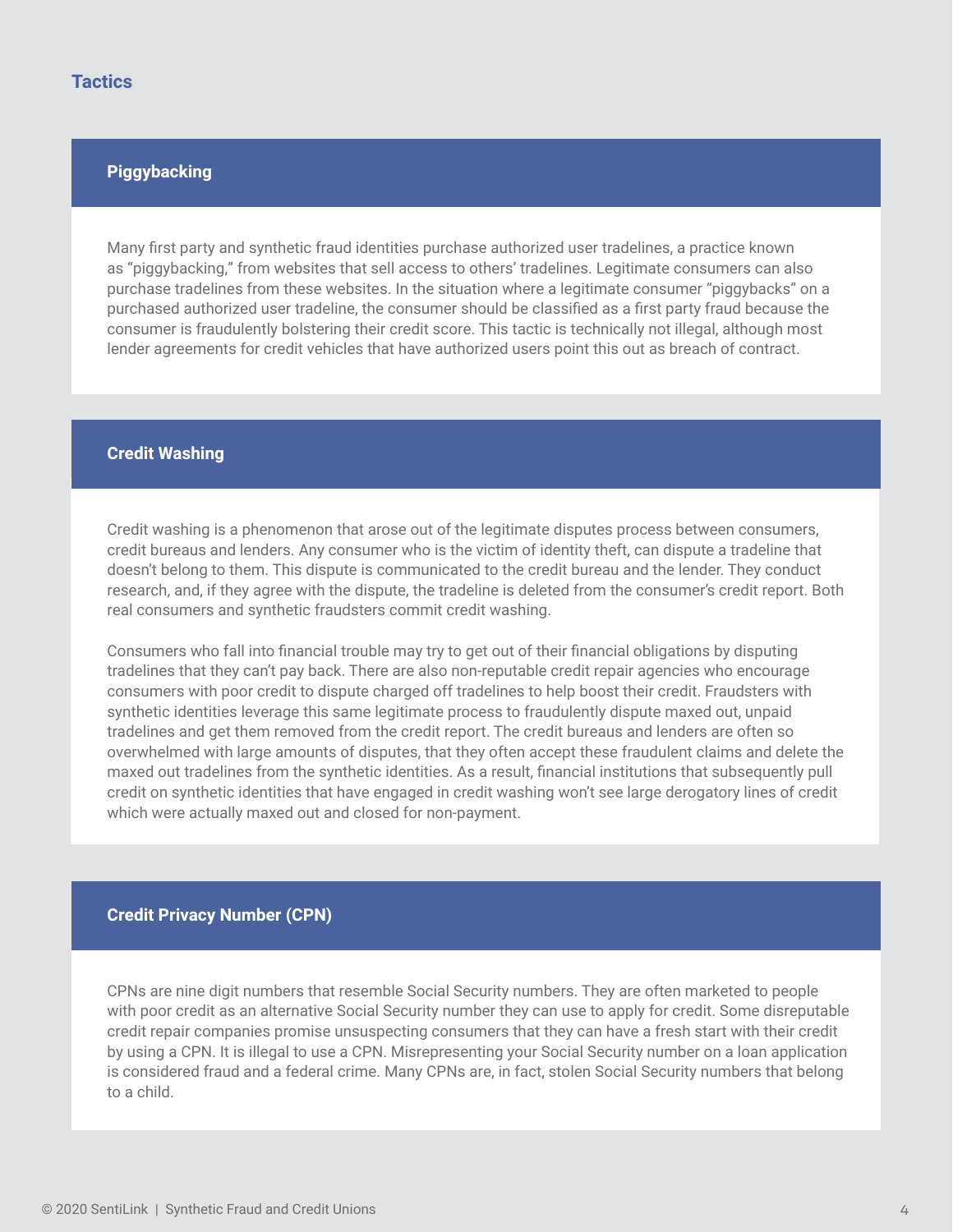#### **Piggybacking**

Many first party and synthetic fraud identities purchase authorized user tradelines, a practice known as "piggybacking," from websites that sell access to others' tradelines. Legitimate consumers can also purchase tradelines from these websites. In the situation where a legitimate consumer "piggybacks" on a purchased authorized user tradeline, the consumer should be classified as a first party fraud because the consumer is fraudulently bolstering their credit score. This tactic is technically not illegal, although most lender agreements for credit vehicles that have authorized users point this out as breach of contract.

#### **Credit Washing**

Credit washing is a phenomenon that arose out of the legitimate disputes process between consumers, credit bureaus and lenders. Any consumer who is the victim of identity theft, can dispute a tradeline that doesn't belong to them. This dispute is communicated to the credit bureau and the lender. They conduct research, and, if they agree with the dispute, the tradeline is deleted from the consumer's credit report. Both real consumers and synthetic fraudsters commit credit washing.

Consumers who fall into financial trouble may try to get out of their financial obligations by disputing tradelines that they can't pay back. There are also non-reputable credit repair agencies who encourage consumers with poor credit to dispute charged off tradelines to help boost their credit. Fraudsters with synthetic identities leverage this same legitimate process to fraudulently dispute maxed out, unpaid tradelines and get them removed from the credit report. The credit bureaus and lenders are often so overwhelmed with large amounts of disputes, that they often accept these fraudulent claims and delete the maxed out tradelines from the synthetic identities. As a result, financial institutions that subsequently pull credit on synthetic identities that have engaged in credit washing won't see large derogatory lines of credit which were actually maxed out and closed for non-payment.

#### **Credit Privacy Number (CPN)**

CPNs are nine digit numbers that resemble Social Security numbers. They are often marketed to people with poor credit as an alternative Social Security number they can use to apply for credit. Some disreputable credit repair companies promise unsuspecting consumers that they can have a fresh start with their credit by using a CPN. It is illegal to use a CPN. Misrepresenting your Social Security number on a loan application is considered fraud and a federal crime. Many CPNs are, in fact, stolen Social Security numbers that belong to a child.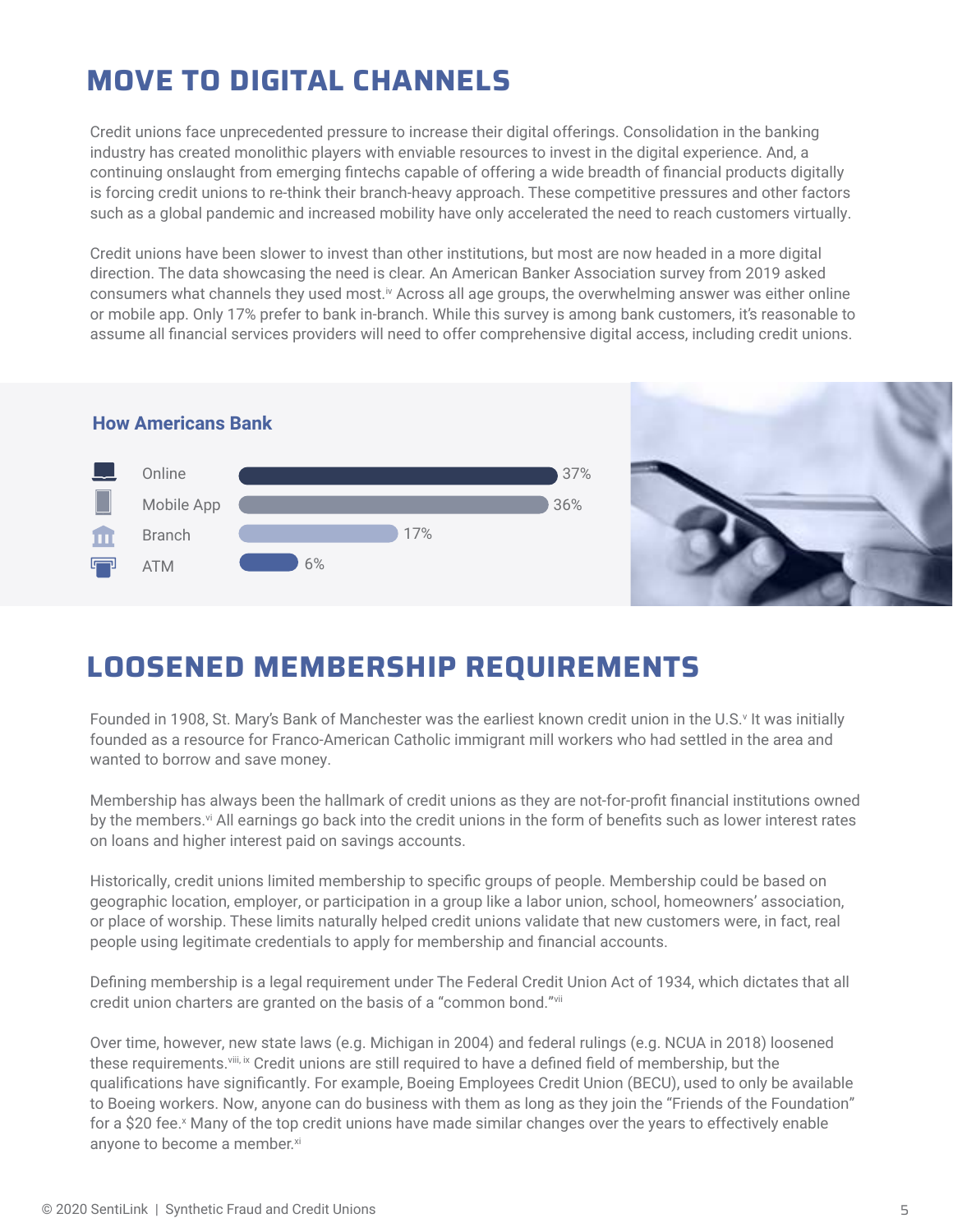### **MOVE TO DIGITAL CHANNELS**

Credit unions face unprecedented pressure to increase their digital offerings. Consolidation in the banking industry has created monolithic players with enviable resources to invest in the digital experience. And, a continuing onslaught from emerging fintechs capable of offering a wide breadth of financial products digitally is forcing credit unions to re-think their branch-heavy approach. These competitive pressures and other factors such as a global pandemic and increased mobility have only accelerated the need to reach customers virtually.

Credit unions have been slower to invest than other institutions, but most are now headed in a more digital direction. The data showcasing the need is clear. An American Banker Association survey from 2019 asked consumers what channels they used most.<sup>iv</sup> Across all age groups, the overwhelming answer was either online or mobile app. Only 17% prefer to bank in-branch. While this survey is among bank customers, it's reasonable to assume all financial services providers will need to offer comprehensive digital access, including credit unions.



### **LOOSENED MEMBERSHIP REQUIREMENTS**

Founded in 1908, St. Mary's Bank of Manchester was the earliest known credit union in the U.S.<sup>,</sup> It was initially founded as a resource for Franco-American Catholic immigrant mill workers who had settled in the area and wanted to borrow and save money.

Membership has always been the hallmark of credit unions as they are not-for-profit financial institutions owned by the members.<sup>vi</sup> All earnings go back into the credit unions in the form of benefits such as lower interest rates on loans and higher interest paid on savings accounts.

Historically, credit unions limited membership to specific groups of people. Membership could be based on geographic location, employer, or participation in a group like a labor union, school, homeowners' association, or place of worship. These limits naturally helped credit unions validate that new customers were, in fact, real people using legitimate credentials to apply for membership and financial accounts.

Defining membership is a legal requirement under The Federal Credit Union Act of 1934, which dictates that all credit union charters are granted on the basis of a "common bond."vii

Over time, however, new state laws (e.g. Michigan in 2004) and federal rulings (e.g. NCUA in 2018) loosened these requirements. Viii, ix Credit unions are still required to have a defined field of membership, but the qualifications have significantly. For example, Boeing Employees Credit Union (BECU), used to only be available to Boeing workers. Now, anyone can do business with them as long as they join the "Friends of the Foundation" for a \$20 fee.<sup>x</sup> Many of the top credit unions have made similar changes over the years to effectively enable anyone to become a member.xi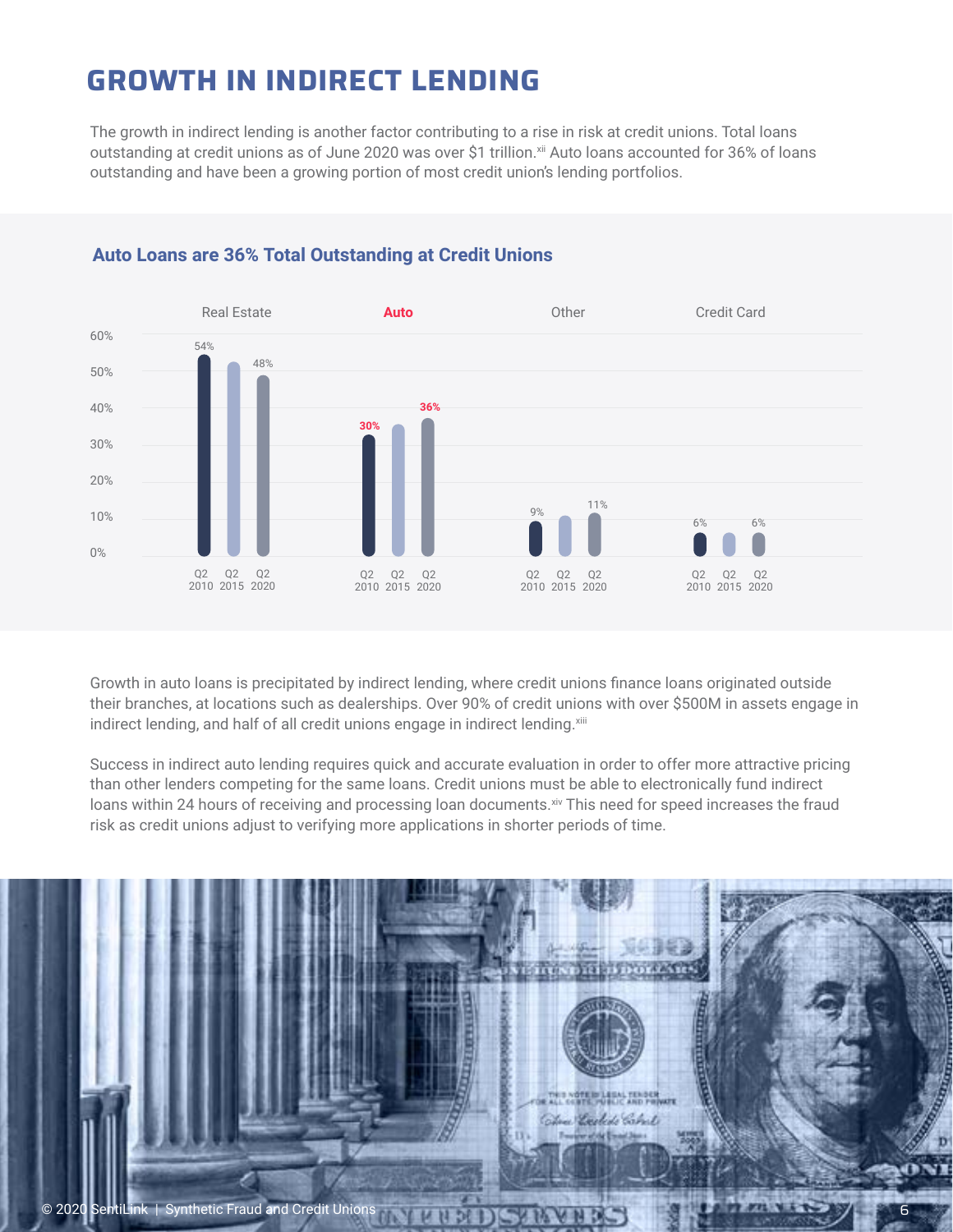### **GROWTH IN INDIRECT LENDING**

The growth in indirect lending is another factor contributing to a rise in risk at credit unions. Total loans outstanding at credit unions as of June 2020 was over \$1 trillion.<sup>xii</sup> Auto loans accounted for 36% of loans outstanding and have been a growing portion of most credit union's lending portfolios.



#### **Auto Loans are 36% Total Outstanding at Credit Unions**

Growth in auto loans is precipitated by indirect lending, where credit unions finance loans originated outside their branches, at locations such as dealerships. Over 90% of credit unions with over \$500M in assets engage in indirect lending, and half of all credit unions engage in indirect lending.xiii

Success in indirect auto lending requires quick and accurate evaluation in order to offer more attractive pricing than other lenders competing for the same loans. Credit unions must be able to electronically fund indirect loans within 24 hours of receiving and processing loan documents. Xiv This need for speed increases the fraud risk as credit unions adjust to verifying more applications in shorter periods of time.

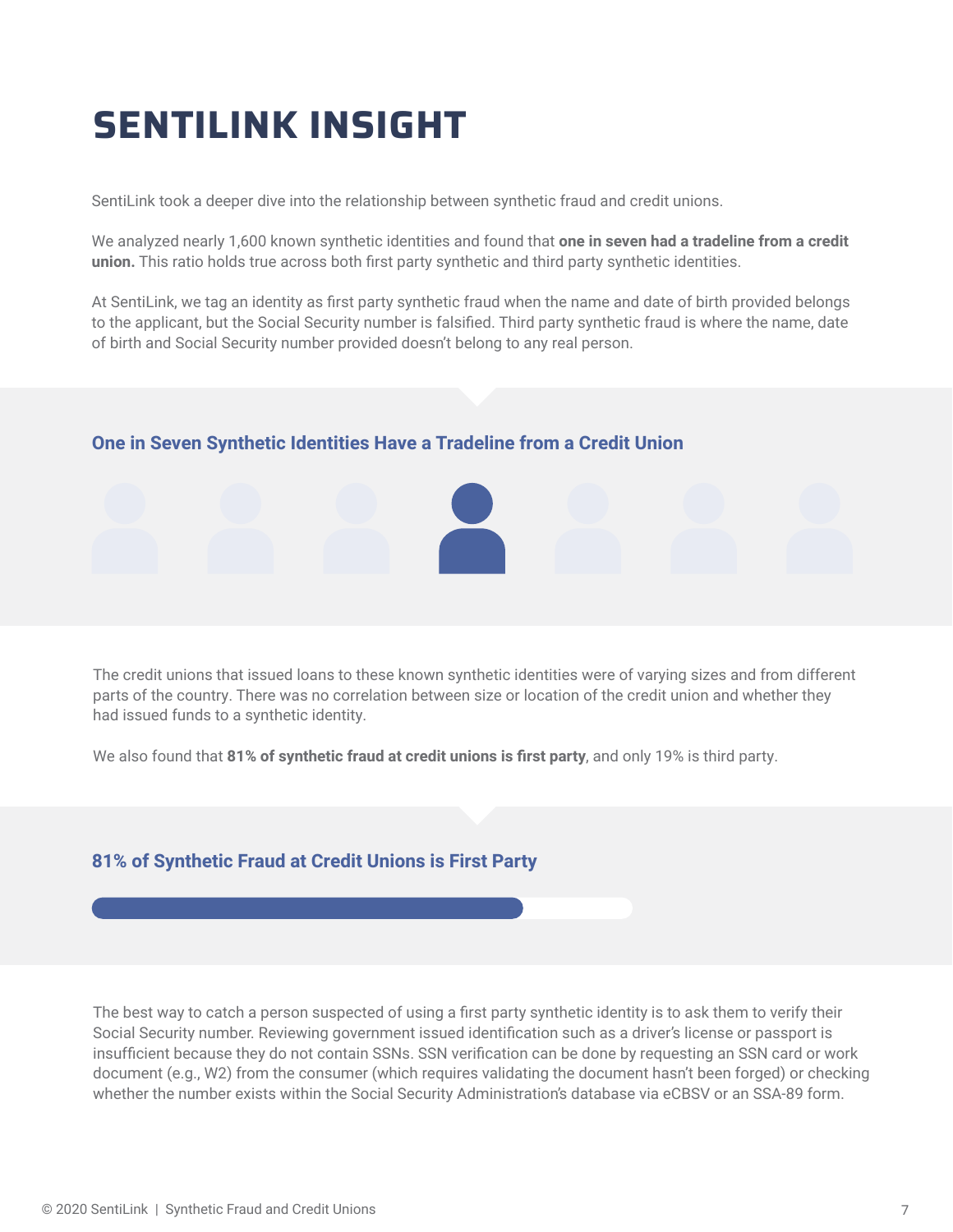# **SENTILINK INSIGHT**

SentiLink took a deeper dive into the relationship between synthetic fraud and credit unions.

We analyzed nearly 1,600 known synthetic identities and found that **one in seven had a tradeline from a credit union.** This ratio holds true across both first party synthetic and third party synthetic identities.

At SentiLink, we tag an identity as first party synthetic fraud when the name and date of birth provided belongs to the applicant, but the Social Security number is falsified. Third party synthetic fraud is where the name, date of birth and Social Security number provided doesn't belong to any real person.

#### **One in Seven Synthetic Identities Have a Tradeline from a Credit Union**



The credit unions that issued loans to these known synthetic identities were of varying sizes and from different parts of the country. There was no correlation between size or location of the credit union and whether they had issued funds to a synthetic identity.

We also found that **81% of synthetic fraud at credit unions is first party**, and only 19% is third party.

#### **81% of Synthetic Fraud at Credit Unions is First Party**

The best way to catch a person suspected of using a first party synthetic identity is to ask them to verify their Social Security number. Reviewing government issued identification such as a driver's license or passport is insufficient because they do not contain SSNs. SSN verification can be done by requesting an SSN card or work document (e.g., W2) from the consumer (which requires validating the document hasn't been forged) or checking whether the number exists within the Social Security Administration's database via eCBSV or an SSA-89 form.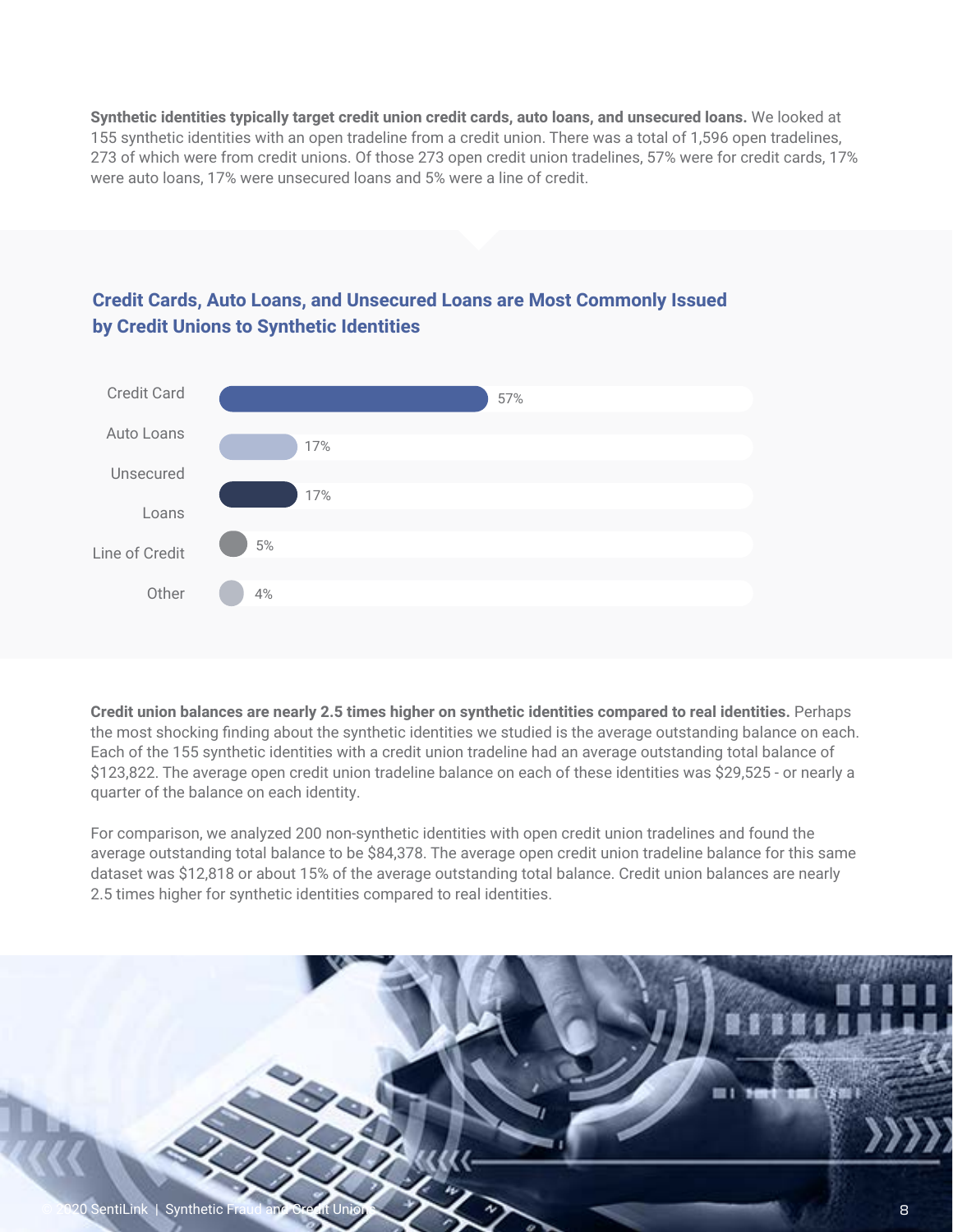**Synthetic identities typically target credit union credit cards, auto loans, and unsecured loans.** We looked at 155 synthetic identities with an open tradeline from a credit union. There was a total of 1,596 open tradelines, 273 of which were from credit unions. Of those 273 open credit union tradelines, 57% were for credit cards, 17% were auto loans, 17% were unsecured loans and 5% were a line of credit.



#### **Credit Cards, Auto Loans, and Unsecured Loans are Most Commonly Issued by Credit Unions to Synthetic Identities**

**Credit union balances are nearly 2.5 times higher on synthetic identities compared to real identities.** Perhaps the most shocking finding about the synthetic identities we studied is the average outstanding balance on each. Each of the 155 synthetic identities with a credit union tradeline had an average outstanding total balance of \$123,822. The average open credit union tradeline balance on each of these identities was \$29,525 - or nearly a quarter of the balance on each identity.

For comparison, we analyzed 200 non-synthetic identities with open credit union tradelines and found the average outstanding total balance to be \$84,378. The average open credit union tradeline balance for this same dataset was \$12,818 or about 15% of the average outstanding total balance. Credit union balances are nearly 2.5 times higher for synthetic identities compared to real identities.

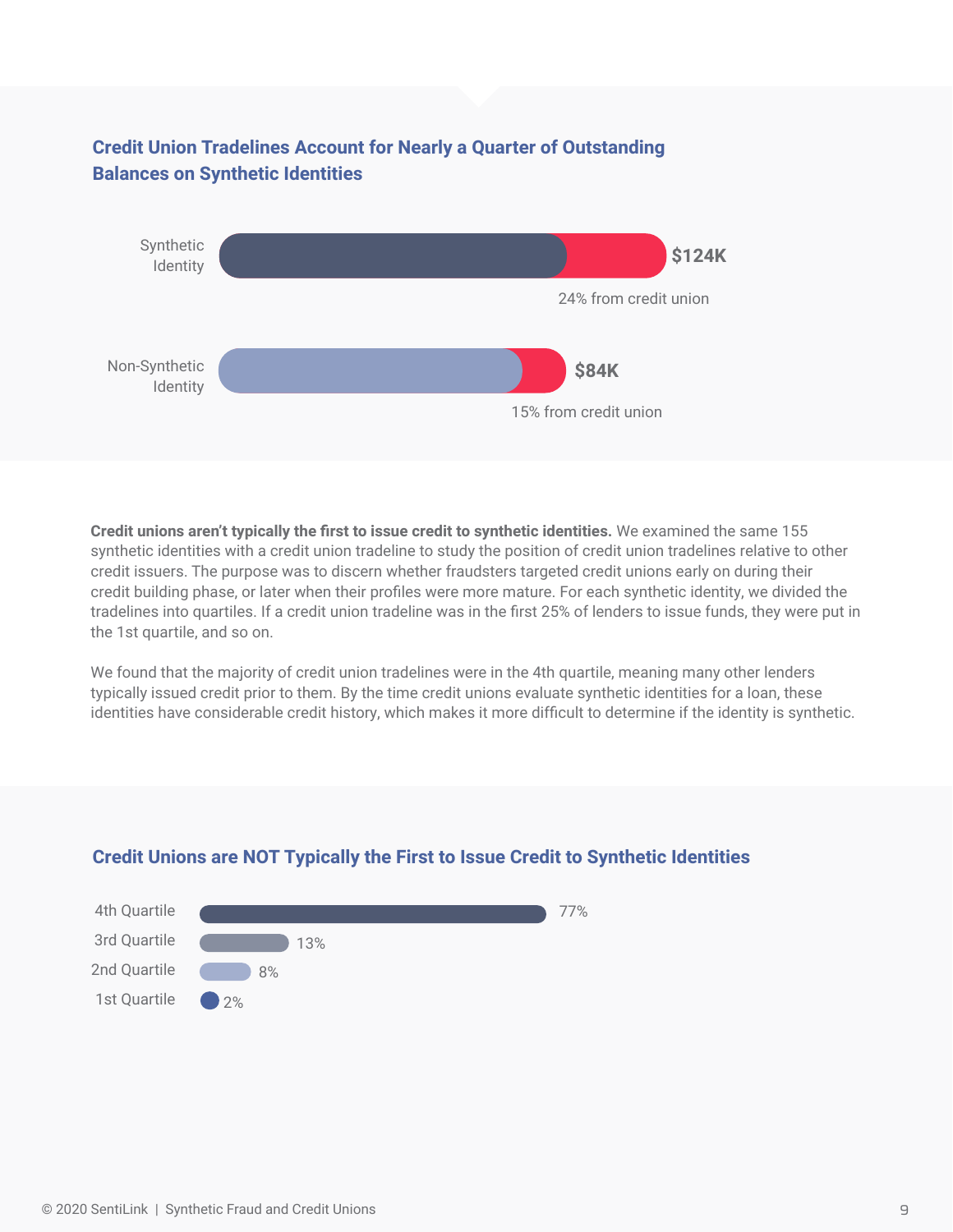#### **Credit Union Tradelines Account for Nearly a Quarter of Outstanding Balances on Synthetic Identities**



**Credit unions aren't typically the first to issue credit to synthetic identities.** We examined the same 155 synthetic identities with a credit union tradeline to study the position of credit union tradelines relative to other credit issuers. The purpose was to discern whether fraudsters targeted credit unions early on during their credit building phase, or later when their profiles were more mature. For each synthetic identity, we divided the tradelines into quartiles. If a credit union tradeline was in the first 25% of lenders to issue funds, they were put in the 1st quartile, and so on.

We found that the majority of credit union tradelines were in the 4th quartile, meaning many other lenders typically issued credit prior to them. By the time credit unions evaluate synthetic identities for a loan, these identities have considerable credit history, which makes it more difficult to determine if the identity is synthetic.



#### **Credit Unions are NOT Typically the First to Issue Credit to Synthetic Identities**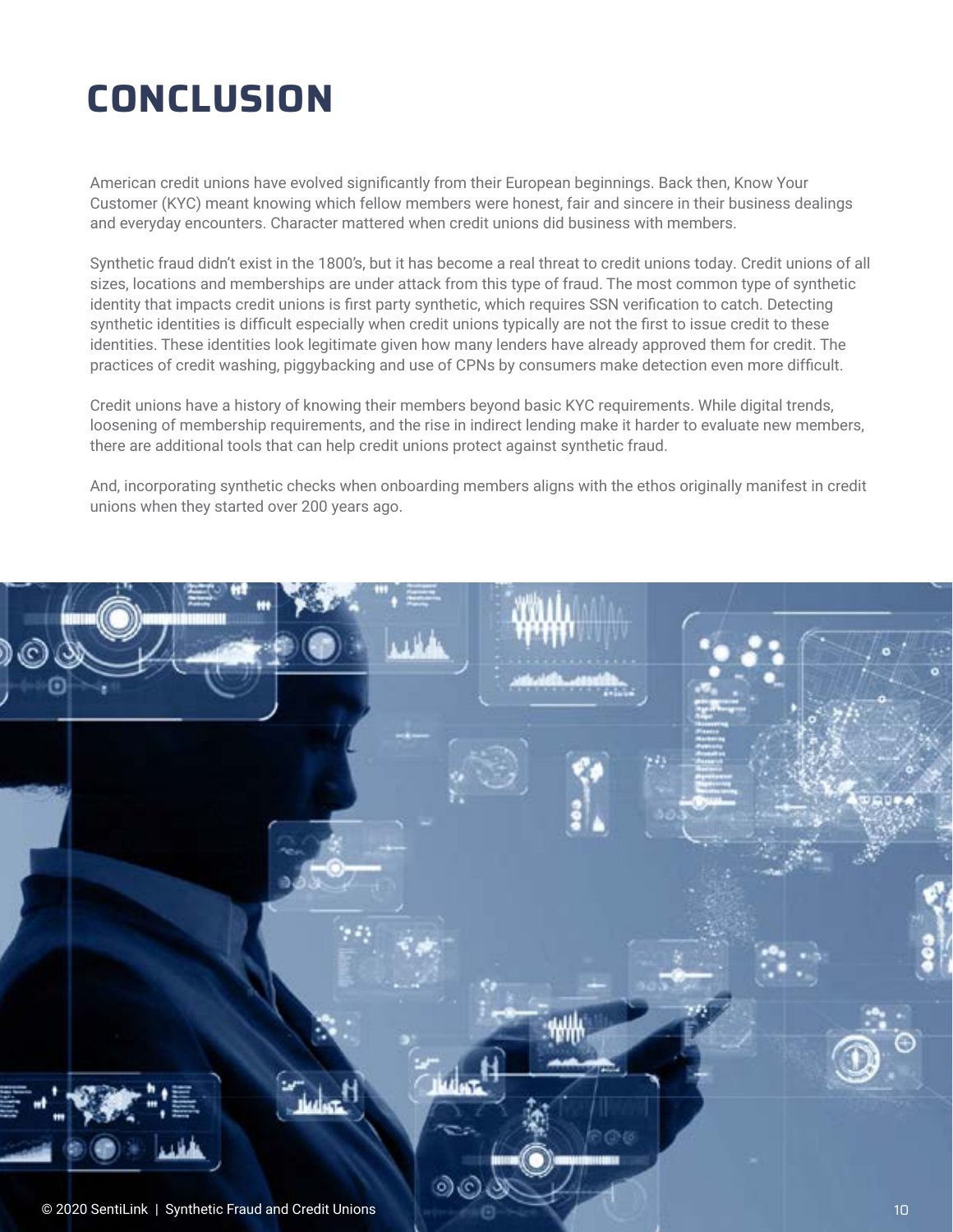# **CONCLUSION**

American credit unions have evolved significantly from their European beginnings. Back then, Know Your Customer (KYC) meant knowing which fellow members were honest, fair and sincere in their business dealings and everyday encounters. Character mattered when credit unions did business with members.

Synthetic fraud didn't exist in the 1800's, but it has become a real threat to credit unions today. Credit unions of all sizes, locations and memberships are under attack from this type of fraud. The most common type of synthetic identity that impacts credit unions is first party synthetic, which requires SSN verification to catch. Detecting synthetic identities is difficult especially when credit unions typically are not the first to issue credit to these identities. These identities look legitimate given how many lenders have already approved them for credit. The practices of credit washing, piggybacking and use of CPNs by consumers make detection even more difficult.

Credit unions have a history of knowing their members beyond basic KYC requirements. While digital trends, loosening of membership requirements, and the rise in indirect lending make it harder to evaluate new members, there are additional tools that can help credit unions protect against synthetic fraud.

And, incorporating synthetic checks when onboarding members aligns with the ethos originally manifest in credit unions when they started over 200 years ago.

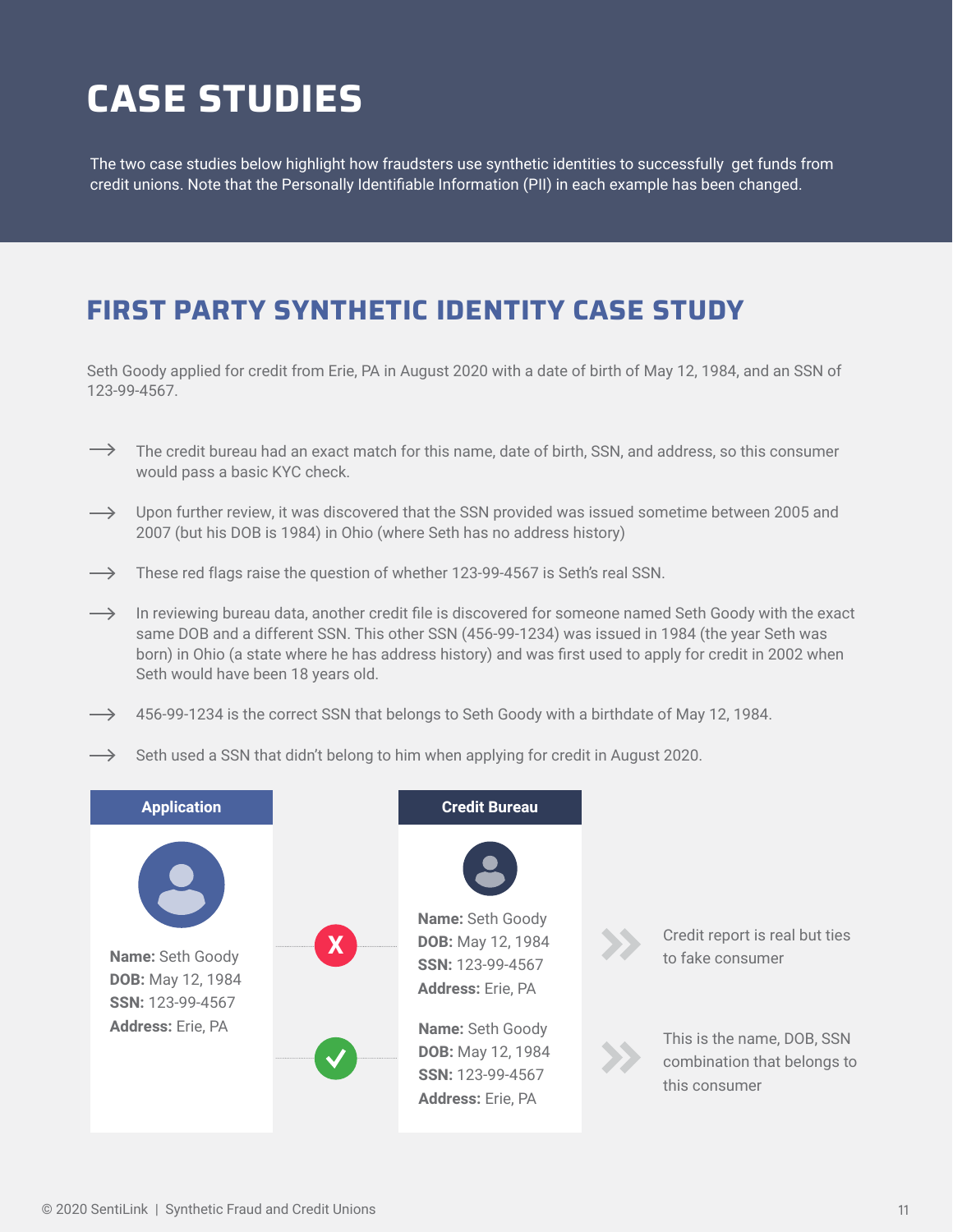# **CASE STUDIES**

The two case studies below highlight how fraudsters use synthetic identities to successfully get funds from credit unions. Note that the Personally Identifiable Information (PII) in each example has been changed.

### **FIRST PARTY SYNTHETIC IDENTITY CASE STUDY**

Seth Goody applied for credit from Erie, PA in August 2020 with a date of birth of May 12, 1984, and an SSN of 123-99-4567.

- $\rightarrow$  The credit bureau had an exact match for this name, date of birth, SSN, and address, so this consumer would pass a basic KYC check.
- $\rightarrow$  Upon further review, it was discovered that the SSN provided was issued sometime between 2005 and 2007 (but his DOB is 1984) in Ohio (where Seth has no address history)
- $\rightarrow$  These red flags raise the question of whether 123-99-4567 is Seth's real SSN.
- $\rightarrow$  In reviewing bureau data, another credit file is discovered for someone named Seth Goody with the exact same DOB and a different SSN. This other SSN (456-99-1234) was issued in 1984 (the year Seth was born) in Ohio (a state where he has address history) and was first used to apply for credit in 2002 when Seth would have been 18 years old.
- $\rightarrow$  456-99-1234 is the correct SSN that belongs to Seth Goody with a birthdate of May 12, 1984.
- $\rightarrow$  Seth used a SSN that didn't belong to him when applying for credit in August 2020.

| Name: Seth Goody<br>Credit report is real but ties<br>$\overline{\textbf{X}}$<br>DOB: May 12, 1984<br><b>Name: Seth Goody</b><br>to fake consumer<br>SSN: 123-99-4567<br><b>DOB:</b> May 12, 1984<br><b>Address: Erie, PA</b><br>SSN: 123-99-4567 | <b>Application</b>       | <b>Credit Bureau</b>    |                             |
|---------------------------------------------------------------------------------------------------------------------------------------------------------------------------------------------------------------------------------------------------|--------------------------|-------------------------|-----------------------------|
| This is the name, DOB, SSN<br><b>DOB:</b> May 12, 1984<br>SSN: 123-99-4567<br>this consumer<br><b>Address: Erie, PA</b>                                                                                                                           | <b>Address: Erie, PA</b> | <b>Name:</b> Seth Goody | combination that belongs to |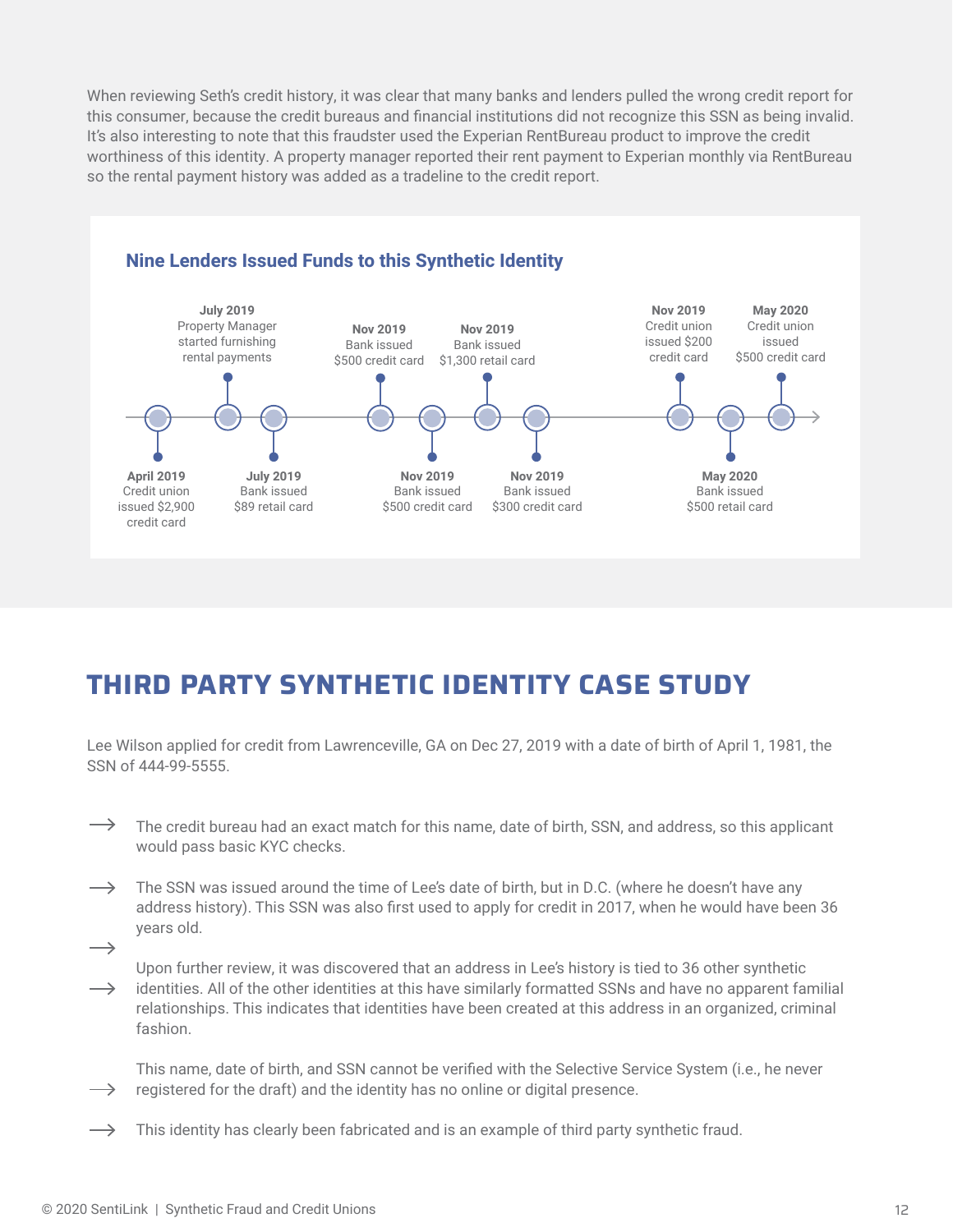When reviewing Seth's credit history, it was clear that many banks and lenders pulled the wrong credit report for this consumer, because the credit bureaus and financial institutions did not recognize this SSN as being invalid. It's also interesting to note that this fraudster used the Experian RentBureau product to improve the credit worthiness of this identity. A property manager reported their rent payment to Experian monthly via RentBureau so the rental payment history was added as a tradeline to the credit report.



### **THIRD PARTY SYNTHETIC IDENTITY CASE STUDY**

Lee Wilson applied for credit from Lawrenceville, GA on Dec 27, 2019 with a date of birth of April 1, 1981, the SSN of 444-99-5555.

- $\rightarrow$ The credit bureau had an exact match for this name, date of birth, SSN, and address, so this applicant would pass basic KYC checks.
- $\longrightarrow$ The SSN was issued around the time of Lee's date of birth, but in D.C. (where he doesn't have any address history). This SSN was also first used to apply for credit in 2017, when he would have been 36 years old.
- $\longrightarrow$

Upon further review, it was discovered that an address in Lee's history is tied to 36 other synthetic

identities. All of the other identities at this have similarly formatted SSNs and have no apparent familial  $\longrightarrow$ relationships. This indicates that identities have been created at this address in an organized, criminal fashion.

This name, date of birth, and SSN cannot be verified with the Selective Service System (i.e., he never  $\rightarrow$  registered for the draft) and the identity has no online or digital presence.

 $\longrightarrow$ This identity has clearly been fabricated and is an example of third party synthetic fraud.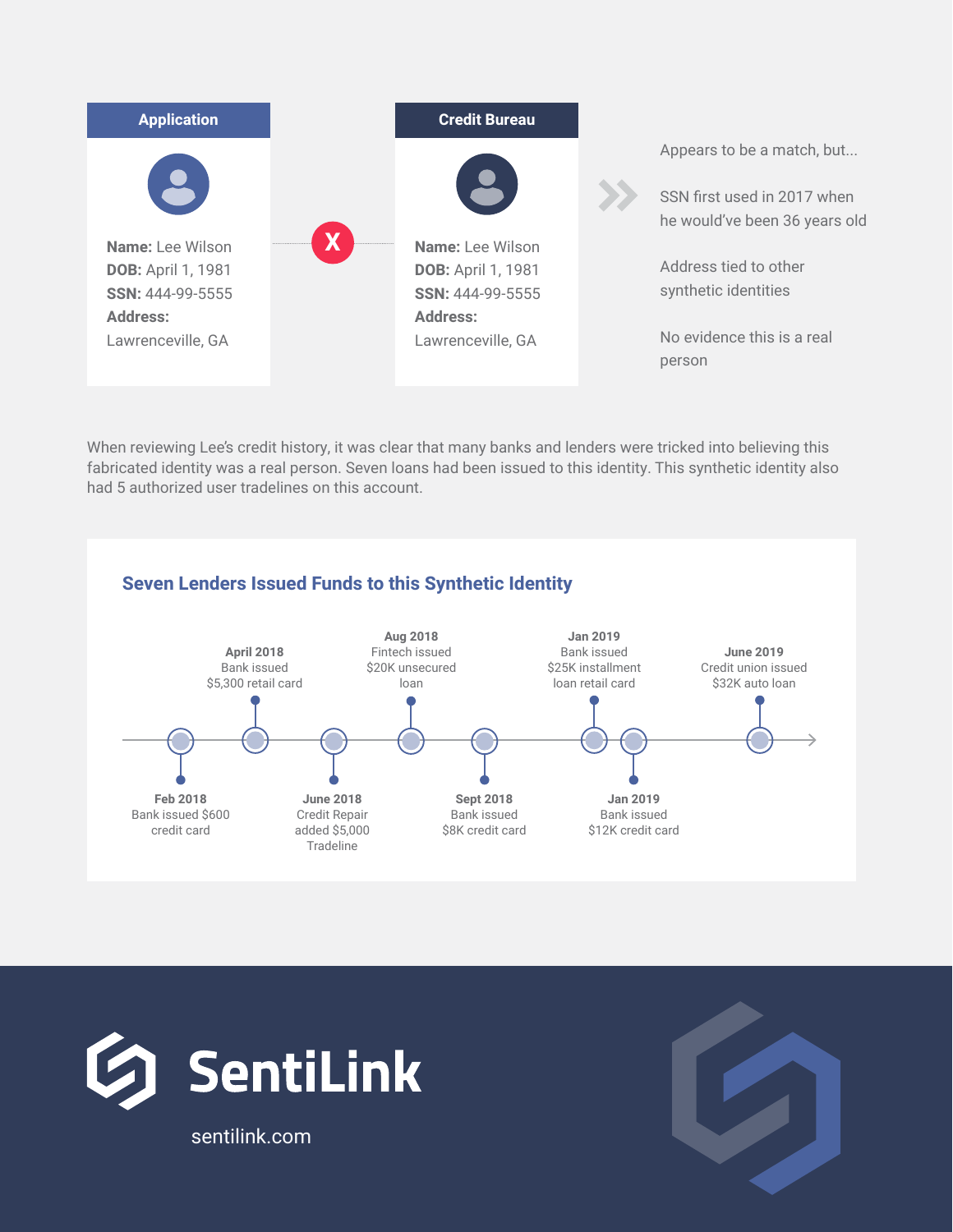

When reviewing Lee's credit history, it was clear that many banks and lenders were tricked into believing this fabricated identity was a real person. Seven loans had been issued to this identity. This synthetic identity also had 5 authorized user tradelines on this account.

#### **Seven Lenders Issued Funds to this Synthetic Identity**